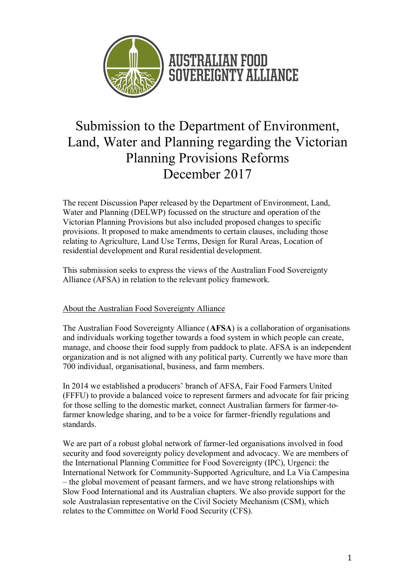

# Submission to the Department of Environment, Land, Water and Planning regarding the Victorian Planning Provisions Reforms December 2017

The recent Discussion Paper released by the Department of Environment, Land, Water and Planning (DELWP) focussed on the structure and operation of the Victorian Planning Provisions but also included proposed changes to specific provisions. It proposed to make amendments to certain clauses, including those relating to Agriculture, Land Use Terms, Design for Rural Areas, Location of residential development and Rural residential development.

This submission seeks to express the views of the Australian Food Sovereignty Alliance (AFSA) in relation to the relevant policy framework.

# About the Australian Food Sovereignty Alliance

The Australian Food Sovereignty Alliance (AFSA) is a collaboration of organisations and individuals working together towards a food system in which people can create, manage, and choose their food supply from paddock to plate. AFSA is an independent organization and is not aligned with any political party. Currently we have more than 700 individual, organisational, business, and farm members.

In 2014 we established a producers' branch of AFSA, Fair Food Farmers United (FFFU) to provide a balanced voice to represent farmers and advocate for fair pricing for those selling to the domestic market, connect Australian farmers for farmer-tofarmer knowledge sharing, and to be a voice for farmer-friendly regulations and standards.

We are part of a robust global network of farmer-led organisations involved in food security and food sovereignty policy development and advocacy. We are members of the International Planning Committee for Food Sovereignty (IPC), Urgenci: the International Network for Community-Supported Agriculture, and La Via Campesina – the global movement of peasant farmers, and we have strong relationships with Slow Food International and its Australian chapters. We also provide support for the sole Australasian representative on the Civil Society Mechanism (CSM), which relates to the Committee on World Food Security (CFS).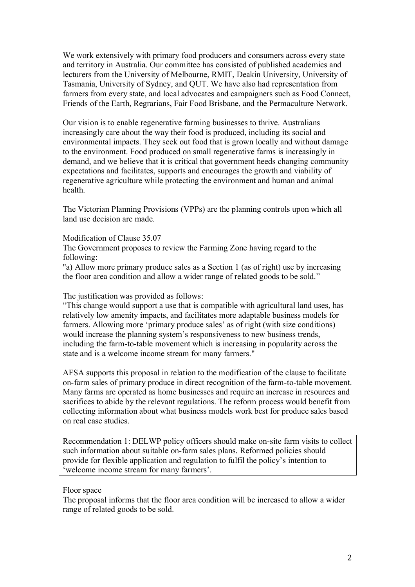We work extensively with primary food producers and consumers across every state and territory in Australia. Our committee has consisted of published academics and lecturers from the University of Melbourne, RMIT, Deakin University, University of Tasmania, University of Sydney, and QUT. We have also had representation from farmers from every state, and local advocates and campaigners such as Food Connect, Friends of the Earth, Regrarians, Fair Food Brisbane, and the Permaculture Network.

Our vision is to enable regenerative farming businesses to thrive. Australians increasingly care about the way their food is produced, including its social and environmental impacts. They seek out food that is grown locally and without damage to the environment. Food produced on small regenerative farms is increasingly in demand, and we believe that it is critical that government heeds changing community expectations and facilitates, supports and encourages the growth and viability of regenerative agriculture while protecting the environment and human and animal health.

The Victorian Planning Provisions (VPPs) are the planning controls upon which all land use decision are made.

#### Modification of Clause 35.07

The Government proposes to review the Farming Zone having regard to the following:

"a) Allow more primary produce sales as a Section 1 (as of right) use by increasing the floor area condition and allow a wider range of related goods to be sold."

The justification was provided as follows:

"This change would support a use that is compatible with agricultural land uses, has relatively low amenity impacts, and facilitates more adaptable business models for farmers. Allowing more 'primary produce sales' as of right (with size conditions) would increase the planning system's responsiveness to new business trends, including the farm-to-table movement which is increasing in popularity across the state and is a welcome income stream for many farmers."

AFSA supports this proposal in relation to the modification of the clause to facilitate on-farm sales of primary produce in direct recognition of the farm-to-table movement. Many farms are operated as home businesses and require an increase in resources and sacrifices to abide by the relevant regulations. The reform process would benefit from collecting information about what business models work best for produce sales based on real case studies.

Recommendation 1: DELWP policy officers should make on-site farm visits to collect such information about suitable on-farm sales plans. Reformed policies should provide for flexible application and regulation to fulfil the policy's intention to 'welcome income stream for many farmers'.

#### Floor space

The proposal informs that the floor area condition will be increased to allow a wider range of related goods to be sold.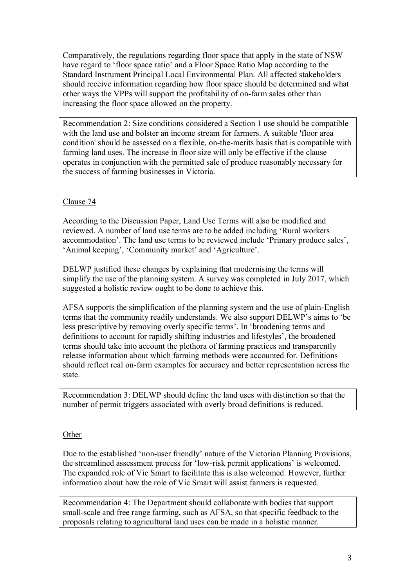Comparatively, the regulations regarding floor space that apply in the state of NSW have regard to 'floor space ratio' and a Floor Space Ratio Map according to the Standard Instrument Principal Local Environmental Plan. All affected stakeholders should receive information regarding how floor space should be determined and what other ways the VPPs will support the profitability of on-farm sales other than increasing the floor space allowed on the property.

Recommendation 2: Size conditions considered a Section 1 use should be compatible with the land use and bolster an income stream for farmers. A suitable 'floor area condition' should be assessed on a flexible, on-the-merits basis that is compatible with farming land uses. The increase in floor size will only be effective if the clause operates in conjunction with the permitted sale of produce reasonably necessary for the success of farming businesses in Victoria.

## Clause 74

According to the Discussion Paper, Land Use Terms will also be modified and reviewed. A number of land use terms are to be added including 'Rural workers accommodation'. The land use terms to be reviewed include 'Primary produce sales', 'Animal keeping', 'Community market' and 'Agriculture'.

DELWP justified these changes by explaining that modernising the terms will simplify the use of the planning system. A survey was completed in July 2017, which suggested a holistic review ought to be done to achieve this.

AFSA supports the simplification of the planning system and the use of plain-English terms that the community readily understands. We also support DELWP's aims to 'be less prescriptive by removing overly specific terms'. In 'broadening terms and definitions to account for rapidly shifting industries and lifestyles', the broadened terms should take into account the plethora of farming practices and transparently release information about which farming methods were accounted for. Definitions should reflect real on-farm examples for accuracy and better representation across the state.

Recommendation 3: DELWP should define the land uses with distinction so that the number of permit triggers associated with overly broad definitions is reduced.

## **Other**

Due to the established 'non-user friendly' nature of the Victorian Planning Provisions, the streamlined assessment process for 'low-risk permit applications' is welcomed. The expanded role of Vic Smart to facilitate this is also welcomed. However, further information about how the role of Vic Smart will assist farmers is requested.

Recommendation 4: The Department should collaborate with bodies that support small-scale and free range farming, such as AFSA, so that specific feedback to the proposals relating to agricultural land uses can be made in a holistic manner.